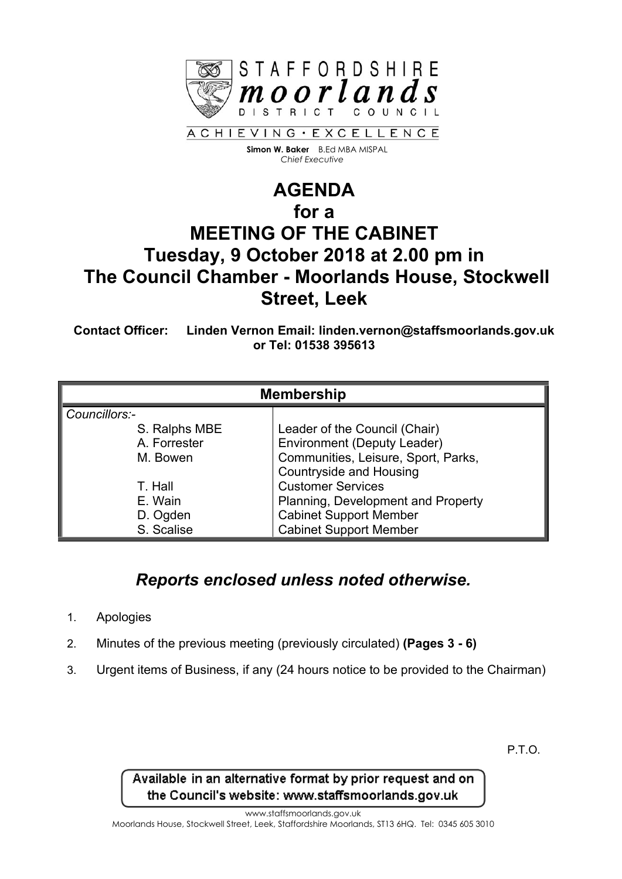

 **Simon W. Baker** B.Ed MBA MISPAL  *Chief Executive*

## **AGENDA for a MEETING OF THE CABINET Tuesday, 9 October 2018 at 2.00 pm in The Council Chamber - Moorlands House, Stockwell Street, Leek**

**Contact Officer: Linden Vernon Email: linden.vernon@staffsmoorlands.gov.uk or Tel: 01538 395613**

| <b>Membership</b> |                                     |
|-------------------|-------------------------------------|
| Councillors:-     |                                     |
| S. Ralphs MBE     | Leader of the Council (Chair)       |
| A. Forrester      | <b>Environment (Deputy Leader)</b>  |
| M. Bowen          | Communities, Leisure, Sport, Parks, |
|                   | <b>Countryside and Housing</b>      |
| T. Hall           | <b>Customer Services</b>            |
| E. Wain           | Planning, Development and Property  |
| D. Ogden          | <b>Cabinet Support Member</b>       |
| S. Scalise        | <b>Cabinet Support Member</b>       |

## *Reports enclosed unless noted otherwise.*

- 1. Apologies
- 2. Minutes of the previous meeting (previously circulated) **(Pages 3 - 6)**
- 3. Urgent items of Business, if any (24 hours notice to be provided to the Chairman)

P.T.O.

Available in an alternative format by prior request and on the Council's website: www.staffsmoorlands.gov.uk

www.staffsmoorlands.gov.uk

Moorlands House, Stockwell Street, Leek, Staffordshire Moorlands, ST13 6HQ. Tel: 0345 605 3010